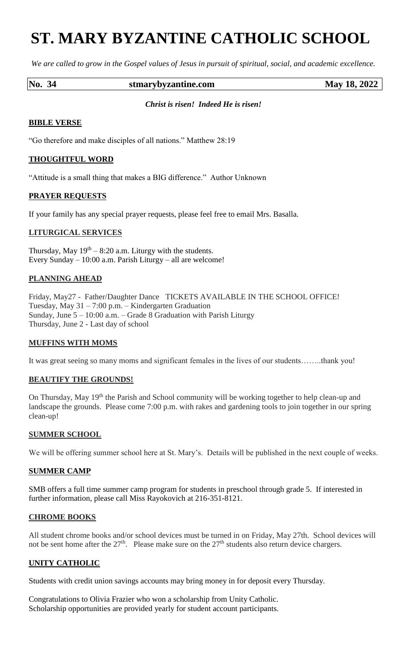# **ST. MARY BYZANTINE CATHOLIC SCHOOL**

*We are called to grow in the Gospel values of Jesus in pursuit of spiritual, social, and academic excellence.*

### **No. 34 stmarybyzantine.com May 18, 2022**

### *Christ is risen! Indeed He is risen!*

## **BIBLE VERSE**

"Go therefore and make disciples of all nations." Matthew 28:19

## **THOUGHTFUL WORD**

"Attitude is a small thing that makes a BIG difference." Author Unknown

## **PRAYER REQUESTS**

If your family has any special prayer requests, please feel free to email Mrs. Basalla.

## **LITURGICAL SERVICES**

Thursday, May  $19<sup>th</sup> - 8:20$  a.m. Liturgy with the students. Every Sunday – 10:00 a.m. Parish Liturgy – all are welcome!

## **PLANNING AHEAD**

Friday, May27 - Father/Daughter Dance TICKETS AVAILABLE IN THE SCHOOL OFFICE! Tuesday, May 31 – 7:00 p.m. – Kindergarten Graduation Sunday, June 5 – 10:00 a.m. – Grade 8 Graduation with Parish Liturgy Thursday, June 2 - Last day of school

### **MUFFINS WITH MOMS**

It was great seeing so many moms and significant females in the lives of our students……..thank you!

### **BEAUTIFY THE GROUNDS!**

On Thursday, May 19<sup>th</sup> the Parish and School community will be working together to help clean-up and landscape the grounds. Please come 7:00 p.m. with rakes and gardening tools to join together in our spring clean-up!

### **SUMMER SCHOOL**

We will be offering summer school here at St. Mary's. Details will be published in the next couple of weeks.

### **SUMMER CAMP**

SMB offers a full time summer camp program for students in preschool through grade 5. If interested in further information, please call Miss Rayokovich at 216-351-8121.

### **CHROME BOOKS**

All student chrome books and/or school devices must be turned in on Friday, May 27th. School devices will not be sent home after the  $27<sup>th</sup>$ . Please make sure on the  $27<sup>th</sup>$  students also return device chargers.

## **UNITY CATHOLIC**

Students with credit union savings accounts may bring money in for deposit every Thursday.

Congratulations to Olivia Frazier who won a scholarship from Unity Catholic. Scholarship opportunities are provided yearly for student account participants.